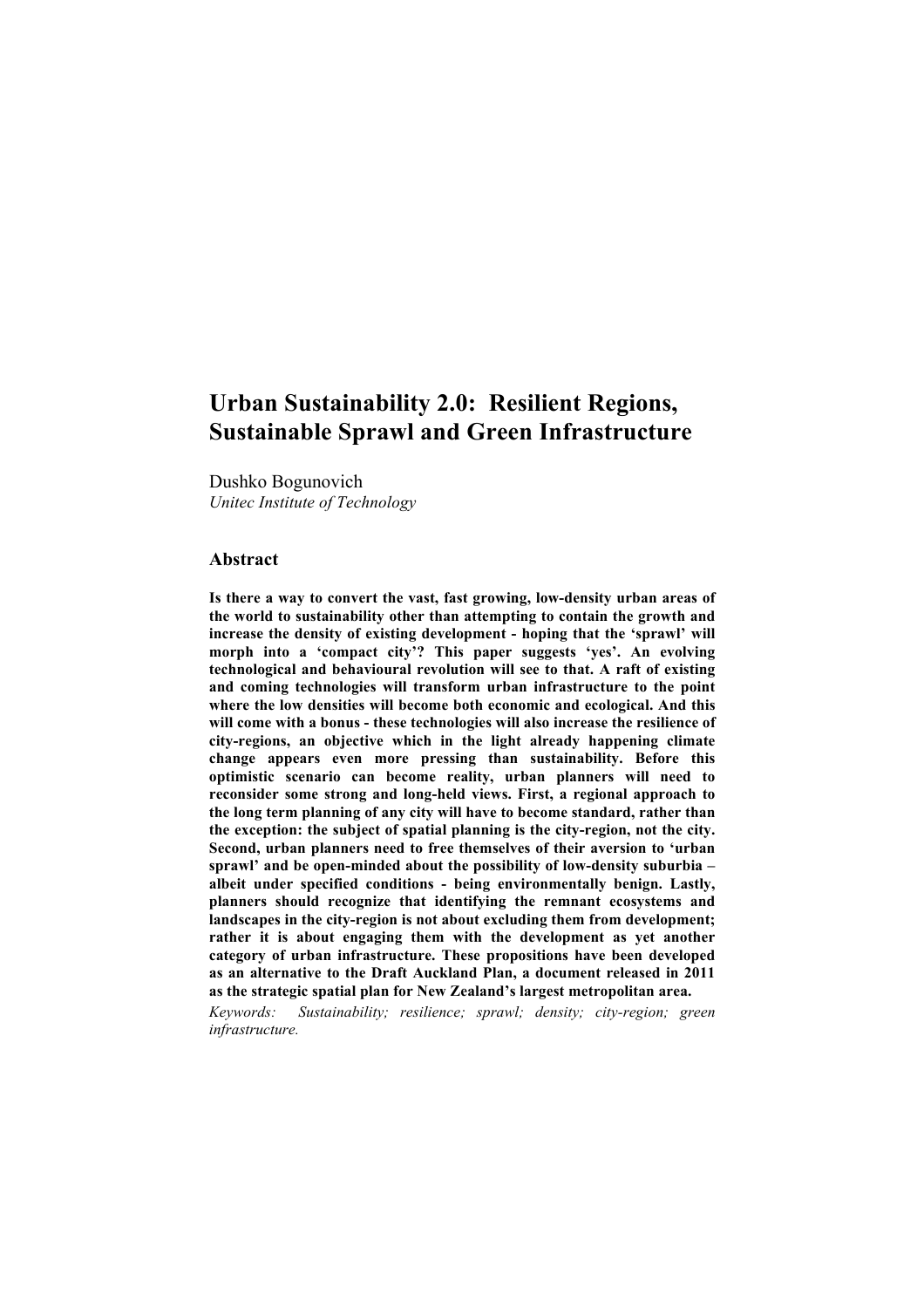# **Urban Sustainability 2.0: Resilient Regions, Sustainable Sprawl and Green Infrastructure**

Dushko Bogunovich *Unitec Institute of Technology*

#### **Abstract**

**Is there a way to convert the vast, fast growing, low-density urban areas of the world to sustainability other than attempting to contain the growth and increase the density of existing development - hoping that the 'sprawl' will morph into a 'compact city'? This paper suggests 'yes'. An evolving technological and behavioural revolution will see to that. A raft of existing and coming technologies will transform urban infrastructure to the point where the low densities will become both economic and ecological. And this will come with a bonus - these technologies will also increase the resilience of city-regions, an objective which in the light already happening climate change appears even more pressing than sustainability. Before this optimistic scenario can become reality, urban planners will need to reconsider some strong and long-held views. First, a regional approach to the long term planning of any city will have to become standard, rather than the exception: the subject of spatial planning is the city-region, not the city. Second, urban planners need to free themselves of their aversion to 'urban sprawl' and be open-minded about the possibility of low-density suburbia – albeit under specified conditions - being environmentally benign. Lastly, planners should recognize that identifying the remnant ecosystems and landscapes in the city-region is not about excluding them from development; rather it is about engaging them with the development as yet another category of urban infrastructure. These propositions have been developed as an alternative to the Draft Auckland Plan, a document released in 2011 as the strategic spatial plan for New Zealand's largest metropolitan area.**

*Keywords: Sustainability; resilience; sprawl; density; city-region; green infrastructure.*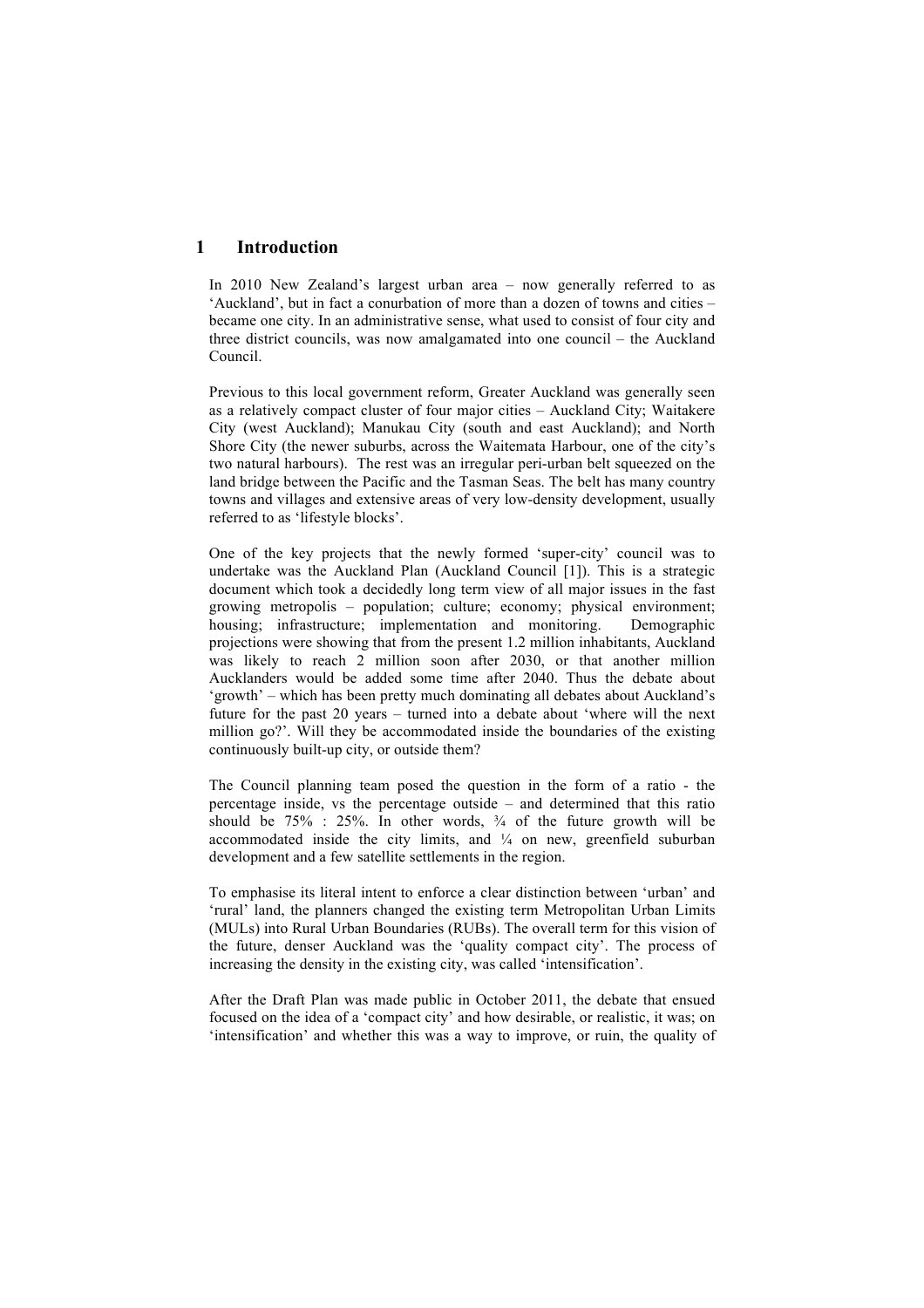# **1 Introduction**

In 2010 New Zealand's largest urban area – now generally referred to as 'Auckland', but in fact a conurbation of more than a dozen of towns and cities – became one city. In an administrative sense, what used to consist of four city and three district councils, was now amalgamated into one council – the Auckland Council.

Previous to this local government reform, Greater Auckland was generally seen as a relatively compact cluster of four major cities – Auckland City; Waitakere City (west Auckland); Manukau City (south and east Auckland); and North Shore City (the newer suburbs, across the Waitemata Harbour, one of the city's two natural harbours). The rest was an irregular peri-urban belt squeezed on the land bridge between the Pacific and the Tasman Seas. The belt has many country towns and villages and extensive areas of very low-density development, usually referred to as 'lifestyle blocks'.

One of the key projects that the newly formed 'super-city' council was to undertake was the Auckland Plan (Auckland Council [1]). This is a strategic document which took a decidedly long term view of all major issues in the fast growing metropolis – population; culture; economy; physical environment; housing; infrastructure; implementation and monitoring. Demographic projections were showing that from the present 1.2 million inhabitants, Auckland was likely to reach 2 million soon after 2030, or that another million Aucklanders would be added some time after 2040. Thus the debate about 'growth' – which has been pretty much dominating all debates about Auckland's future for the past 20 years – turned into a debate about 'where will the next million go?'. Will they be accommodated inside the boundaries of the existing continuously built-up city, or outside them?

The Council planning team posed the question in the form of a ratio - the percentage inside, vs the percentage outside – and determined that this ratio should be  $75\%$  :  $25\%$ . In other words,  $\frac{3}{4}$  of the future growth will be accommodated inside the city limits, and  $\frac{1}{4}$  on new, greenfield suburban development and a few satellite settlements in the region.

To emphasise its literal intent to enforce a clear distinction between 'urban' and 'rural' land, the planners changed the existing term Metropolitan Urban Limits (MULs) into Rural Urban Boundaries (RUBs). The overall term for this vision of the future, denser Auckland was the 'quality compact city'. The process of increasing the density in the existing city, was called 'intensification'.

After the Draft Plan was made public in October 2011, the debate that ensued focused on the idea of a 'compact city' and how desirable, or realistic, it was; on 'intensification' and whether this was a way to improve, or ruin, the quality of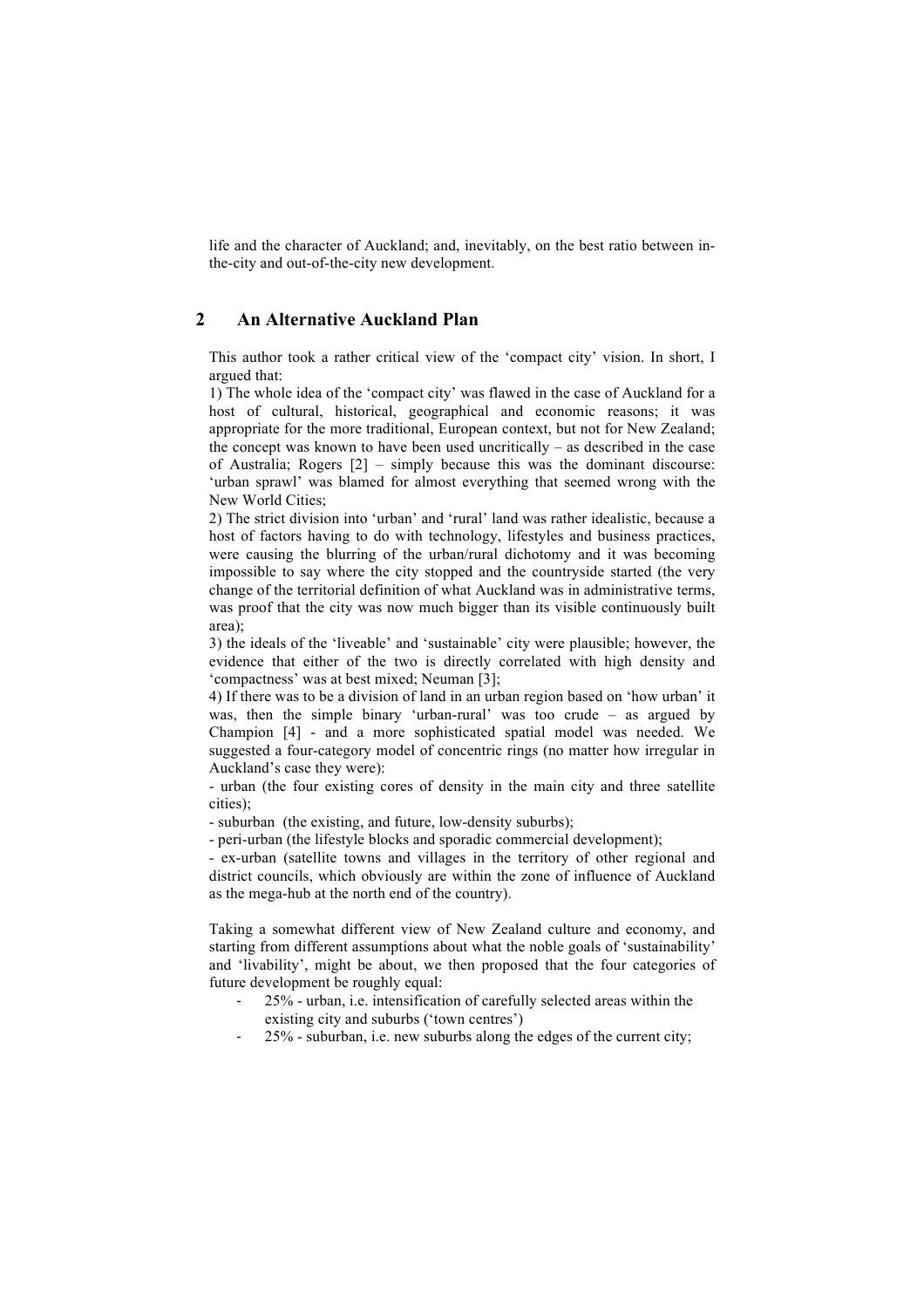life and the character of Auckland; and, inevitably, on the best ratio between inthe-city and out-of-the-city new development.

## **2 An Alternative Auckland Plan**

This author took a rather critical view of the 'compact city' vision. In short, I argued that:

1) The whole idea of the 'compact city' was flawed in the case of Auckland for a host of cultural, historical, geographical and economic reasons; it was appropriate for the more traditional, European context, but not for New Zealand; the concept was known to have been used uncritically – as described in the case of Australia; Rogers [2] – simply because this was the dominant discourse: 'urban sprawl' was blamed for almost everything that seemed wrong with the New World Cities;

2) The strict division into 'urban' and 'rural' land was rather idealistic, because a host of factors having to do with technology, lifestyles and business practices, were causing the blurring of the urban/rural dichotomy and it was becoming impossible to say where the city stopped and the countryside started (the very change of the territorial definition of what Auckland was in administrative terms, was proof that the city was now much bigger than its visible continuously built area);

3) the ideals of the 'liveable' and 'sustainable' city were plausible; however, the evidence that either of the two is directly correlated with high density and 'compactness' was at best mixed; Neuman [3];

4) If there was to be a division of land in an urban region based on 'how urban' it was, then the simple binary 'urban-rural' was too crude – as argued by Champion [4] - and a more sophisticated spatial model was needed. We suggested a four-category model of concentric rings (no matter how irregular in Auckland's case they were):

- urban (the four existing cores of density in the main city and three satellite cities);

- suburban (the existing, and future, low-density suburbs);

- peri-urban (the lifestyle blocks and sporadic commercial development);

- ex-urban (satellite towns and villages in the territory of other regional and district councils, which obviously are within the zone of influence of Auckland as the mega-hub at the north end of the country).

Taking a somewhat different view of New Zealand culture and economy, and starting from different assumptions about what the noble goals of 'sustainability' and 'livability', might be about, we then proposed that the four categories of future development be roughly equal:

- 25% urban, i.e. intensification of carefully selected areas within the existing city and suburbs ('town centres')
- 25% suburban, i.e. new suburbs along the edges of the current city;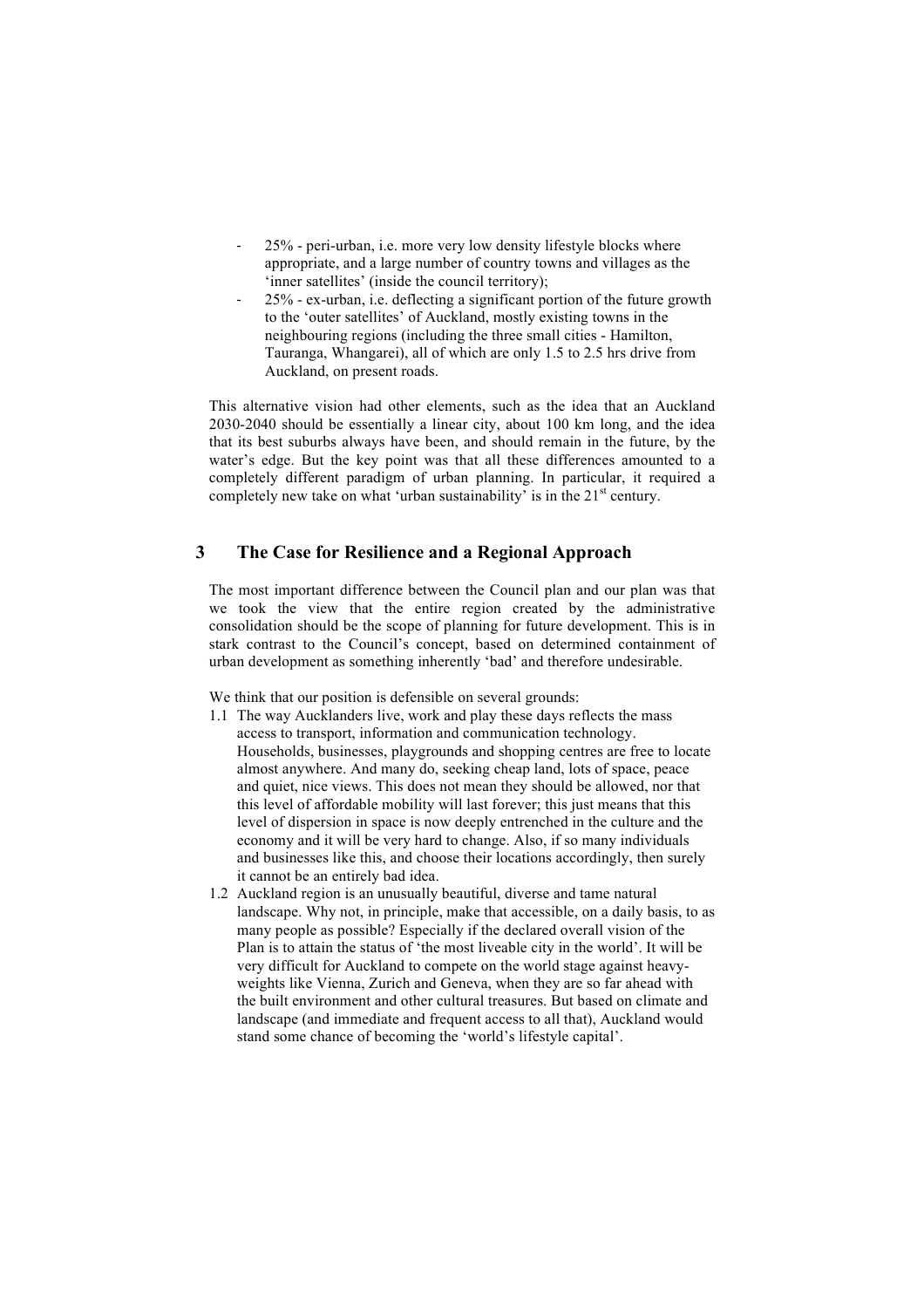- 25% peri-urban, i.e. more very low density lifestyle blocks where appropriate, and a large number of country towns and villages as the 'inner satellites' (inside the council territory);
- 25% ex-urban, i.e. deflecting a significant portion of the future growth to the 'outer satellites' of Auckland, mostly existing towns in the neighbouring regions (including the three small cities - Hamilton, Tauranga, Whangarei), all of which are only 1.5 to 2.5 hrs drive from Auckland, on present roads.

This alternative vision had other elements, such as the idea that an Auckland 2030-2040 should be essentially a linear city, about 100 km long, and the idea that its best suburbs always have been, and should remain in the future, by the water's edge. But the key point was that all these differences amounted to a completely different paradigm of urban planning. In particular, it required a completely new take on what 'urban sustainability' is in the  $21<sup>st</sup>$  century.

# **3 The Case for Resilience and a Regional Approach**

The most important difference between the Council plan and our plan was that we took the view that the entire region created by the administrative consolidation should be the scope of planning for future development. This is in stark contrast to the Council's concept, based on determined containment of urban development as something inherently 'bad' and therefore undesirable.

We think that our position is defensible on several grounds:

- 1.1 The way Aucklanders live, work and play these days reflects the mass access to transport, information and communication technology. Households, businesses, playgrounds and shopping centres are free to locate almost anywhere. And many do, seeking cheap land, lots of space, peace and quiet, nice views. This does not mean they should be allowed, nor that this level of affordable mobility will last forever; this just means that this level of dispersion in space is now deeply entrenched in the culture and the economy and it will be very hard to change. Also, if so many individuals and businesses like this, and choose their locations accordingly, then surely it cannot be an entirely bad idea.
- 1.2 Auckland region is an unusually beautiful, diverse and tame natural landscape. Why not, in principle, make that accessible, on a daily basis, to as many people as possible? Especially if the declared overall vision of the Plan is to attain the status of 'the most liveable city in the world'. It will be very difficult for Auckland to compete on the world stage against heavyweights like Vienna, Zurich and Geneva, when they are so far ahead with the built environment and other cultural treasures. But based on climate and landscape (and immediate and frequent access to all that), Auckland would stand some chance of becoming the 'world's lifestyle capital'.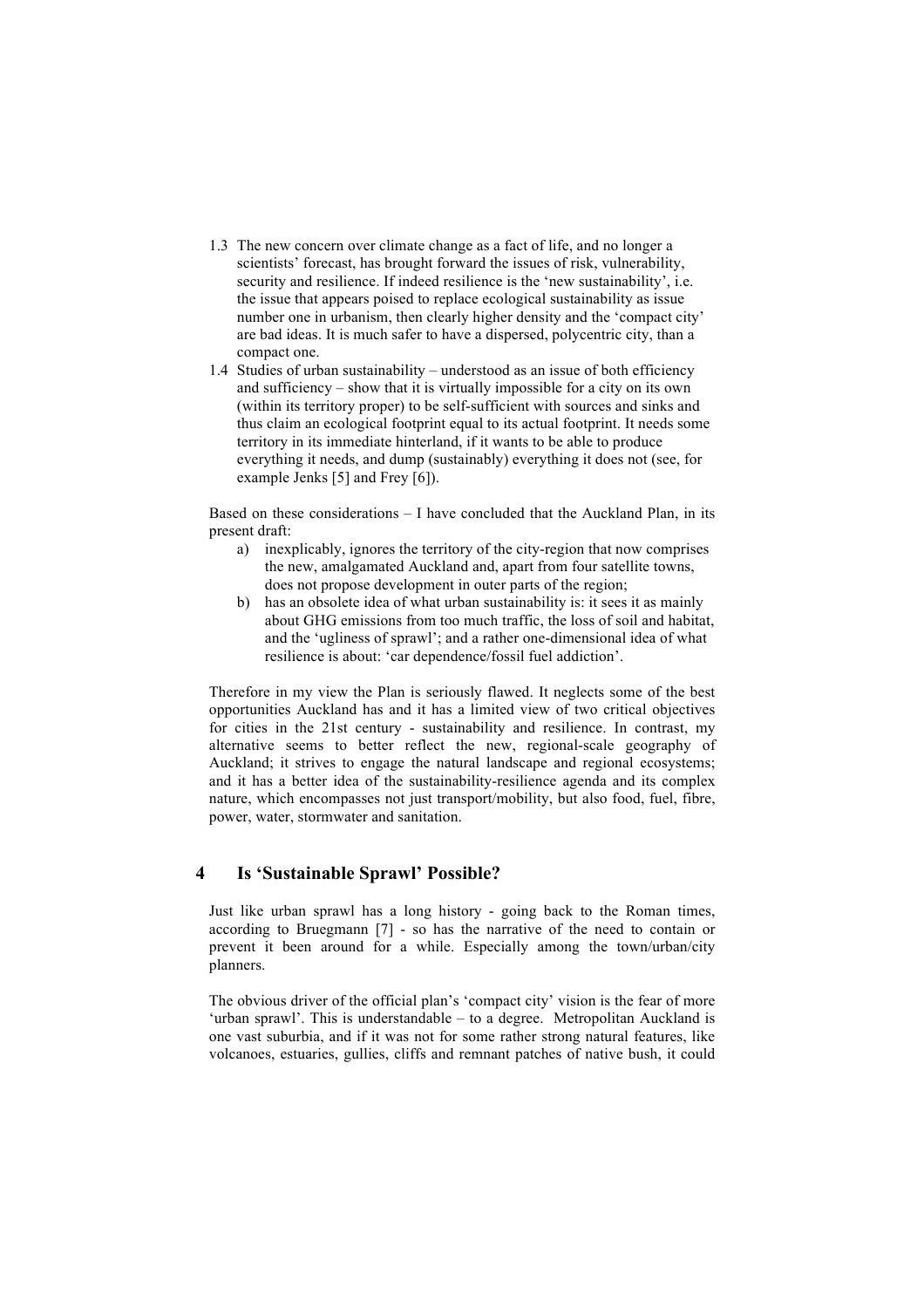- 1.3 The new concern over climate change as a fact of life, and no longer a scientists' forecast, has brought forward the issues of risk, vulnerability, security and resilience. If indeed resilience is the 'new sustainability', i.e. the issue that appears poised to replace ecological sustainability as issue number one in urbanism, then clearly higher density and the 'compact city' are bad ideas. It is much safer to have a dispersed, polycentric city, than a compact one.
- 1.4 Studies of urban sustainability understood as an issue of both efficiency and sufficiency – show that it is virtually impossible for a city on its own (within its territory proper) to be self-sufficient with sources and sinks and thus claim an ecological footprint equal to its actual footprint. It needs some territory in its immediate hinterland, if it wants to be able to produce everything it needs, and dump (sustainably) everything it does not (see, for example Jenks [5] and Frey [6]).

Based on these considerations – I have concluded that the Auckland Plan, in its present draft:

- a) inexplicably, ignores the territory of the city-region that now comprises the new, amalgamated Auckland and, apart from four satellite towns, does not propose development in outer parts of the region;
- b) has an obsolete idea of what urban sustainability is: it sees it as mainly about GHG emissions from too much traffic, the loss of soil and habitat, and the 'ugliness of sprawl'; and a rather one-dimensional idea of what resilience is about: 'car dependence/fossil fuel addiction'.

Therefore in my view the Plan is seriously flawed. It neglects some of the best opportunities Auckland has and it has a limited view of two critical objectives for cities in the 21st century - sustainability and resilience. In contrast, my alternative seems to better reflect the new, regional-scale geography of Auckland; it strives to engage the natural landscape and regional ecosystems; and it has a better idea of the sustainability-resilience agenda and its complex nature, which encompasses not just transport/mobility, but also food, fuel, fibre, power, water, stormwater and sanitation.

## **4 Is 'Sustainable Sprawl' Possible?**

Just like urban sprawl has a long history - going back to the Roman times, according to Bruegmann [7] - so has the narrative of the need to contain or prevent it been around for a while. Especially among the town/urban/city planners.

The obvious driver of the official plan's 'compact city' vision is the fear of more 'urban sprawl'. This is understandable – to a degree. Metropolitan Auckland is one vast suburbia, and if it was not for some rather strong natural features, like volcanoes, estuaries, gullies, cliffs and remnant patches of native bush, it could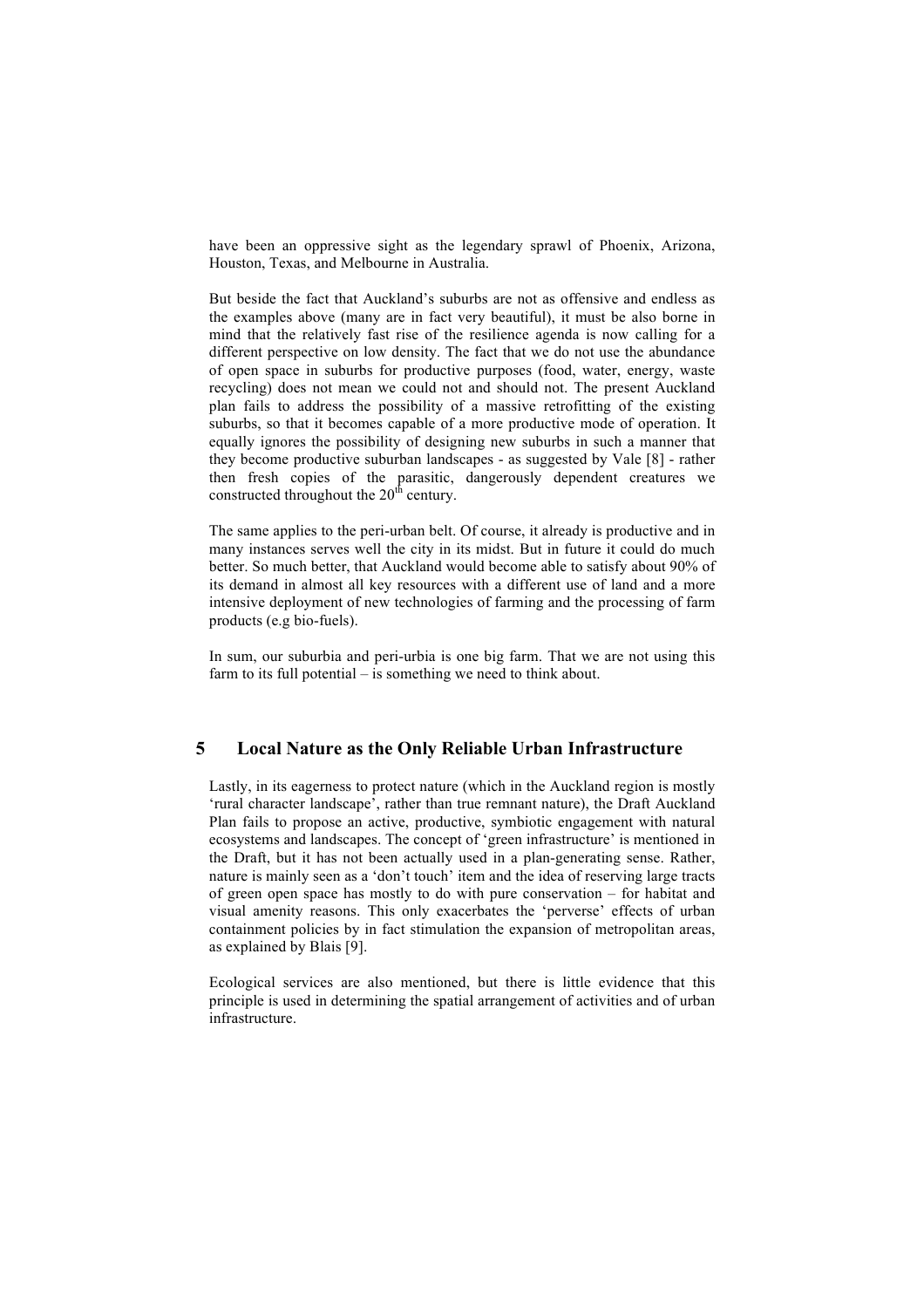have been an oppressive sight as the legendary sprawl of Phoenix, Arizona, Houston, Texas, and Melbourne in Australia.

But beside the fact that Auckland's suburbs are not as offensive and endless as the examples above (many are in fact very beautiful), it must be also borne in mind that the relatively fast rise of the resilience agenda is now calling for a different perspective on low density. The fact that we do not use the abundance of open space in suburbs for productive purposes (food, water, energy, waste recycling) does not mean we could not and should not. The present Auckland plan fails to address the possibility of a massive retrofitting of the existing suburbs, so that it becomes capable of a more productive mode of operation. It equally ignores the possibility of designing new suburbs in such a manner that they become productive suburban landscapes - as suggested by Vale [8] - rather then fresh copies of the parasitic, dangerously dependent creatures we constructed throughout the  $20<sup>th</sup>$  century.

The same applies to the peri-urban belt. Of course, it already is productive and in many instances serves well the city in its midst. But in future it could do much better. So much better, that Auckland would become able to satisfy about 90% of its demand in almost all key resources with a different use of land and a more intensive deployment of new technologies of farming and the processing of farm products (e.g bio-fuels).

In sum, our suburbia and peri-urbia is one big farm. That we are not using this farm to its full potential – is something we need to think about.

#### **5 Local Nature as the Only Reliable Urban Infrastructure**

Lastly, in its eagerness to protect nature (which in the Auckland region is mostly 'rural character landscape', rather than true remnant nature), the Draft Auckland Plan fails to propose an active, productive, symbiotic engagement with natural ecosystems and landscapes. The concept of 'green infrastructure' is mentioned in the Draft, but it has not been actually used in a plan-generating sense. Rather, nature is mainly seen as a 'don't touch' item and the idea of reserving large tracts of green open space has mostly to do with pure conservation – for habitat and visual amenity reasons. This only exacerbates the 'perverse' effects of urban containment policies by in fact stimulation the expansion of metropolitan areas, as explained by Blais [9].

Ecological services are also mentioned, but there is little evidence that this principle is used in determining the spatial arrangement of activities and of urban infrastructure.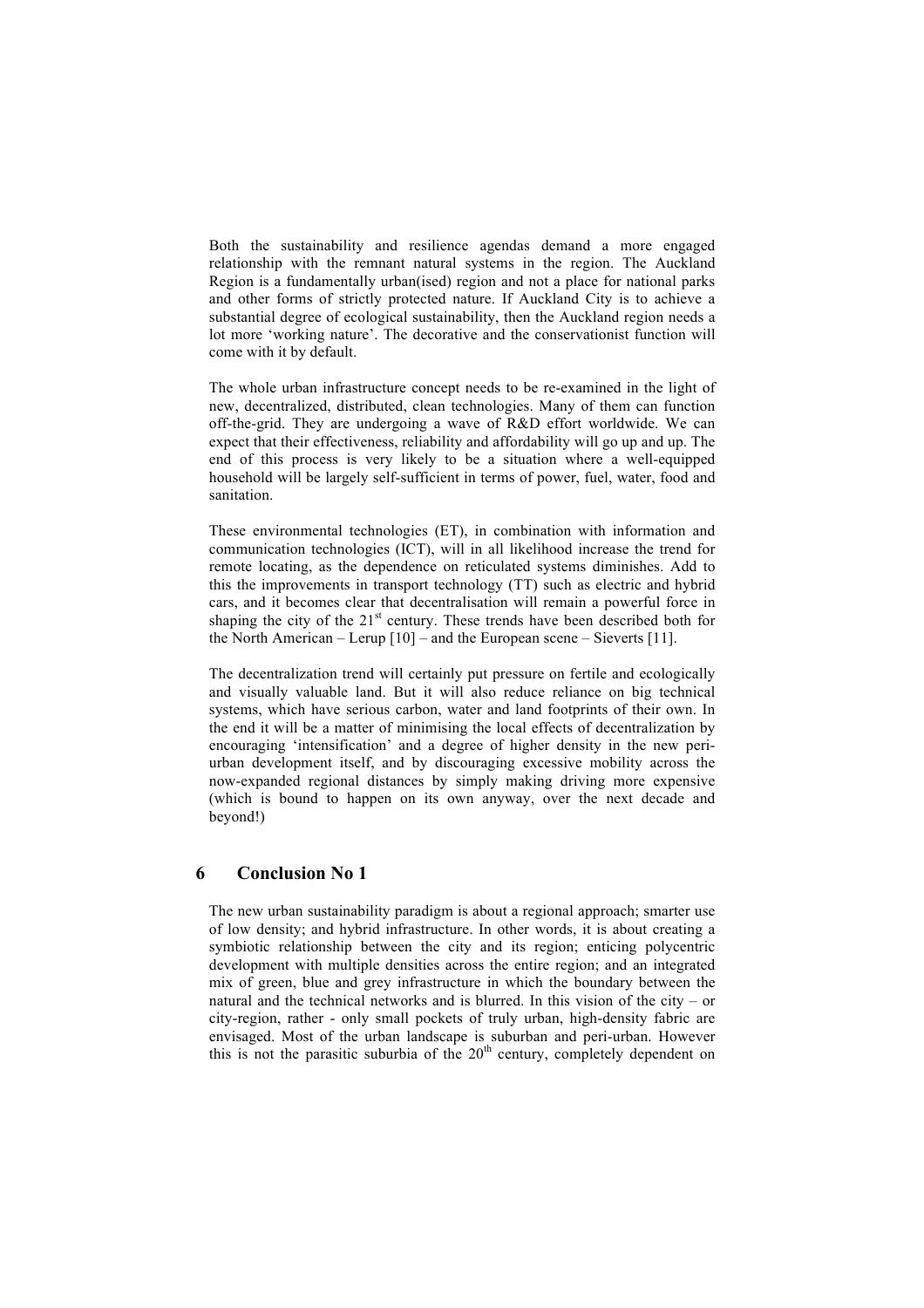Both the sustainability and resilience agendas demand a more engaged relationship with the remnant natural systems in the region. The Auckland Region is a fundamentally urban(ised) region and not a place for national parks and other forms of strictly protected nature. If Auckland City is to achieve a substantial degree of ecological sustainability, then the Auckland region needs a lot more 'working nature'. The decorative and the conservationist function will come with it by default.

The whole urban infrastructure concept needs to be re-examined in the light of new, decentralized, distributed, clean technologies. Many of them can function off-the-grid. They are undergoing a wave of R&D effort worldwide. We can expect that their effectiveness, reliability and affordability will go up and up. The end of this process is very likely to be a situation where a well-equipped household will be largely self-sufficient in terms of power, fuel, water, food and sanitation.

These environmental technologies (ET), in combination with information and communication technologies (ICT), will in all likelihood increase the trend for remote locating, as the dependence on reticulated systems diminishes. Add to this the improvements in transport technology (TT) such as electric and hybrid cars, and it becomes clear that decentralisation will remain a powerful force in shaping the city of the  $21<sup>st</sup>$  century. These trends have been described both for the North American – Lerup [10] – and the European scene – Sieverts [11].

The decentralization trend will certainly put pressure on fertile and ecologically and visually valuable land. But it will also reduce reliance on big technical systems, which have serious carbon, water and land footprints of their own. In the end it will be a matter of minimising the local effects of decentralization by encouraging 'intensification' and a degree of higher density in the new periurban development itself, and by discouraging excessive mobility across the now-expanded regional distances by simply making driving more expensive (which is bound to happen on its own anyway, over the next decade and beyond!)

#### **6 Conclusion No 1**

The new urban sustainability paradigm is about a regional approach; smarter use of low density; and hybrid infrastructure. In other words, it is about creating a symbiotic relationship between the city and its region; enticing polycentric development with multiple densities across the entire region; and an integrated mix of green, blue and grey infrastructure in which the boundary between the natural and the technical networks and is blurred. In this vision of the city – or city-region, rather - only small pockets of truly urban, high-density fabric are envisaged. Most of the urban landscape is suburban and peri-urban. However this is not the parasitic suburbia of the  $20<sup>th</sup>$  century, completely dependent on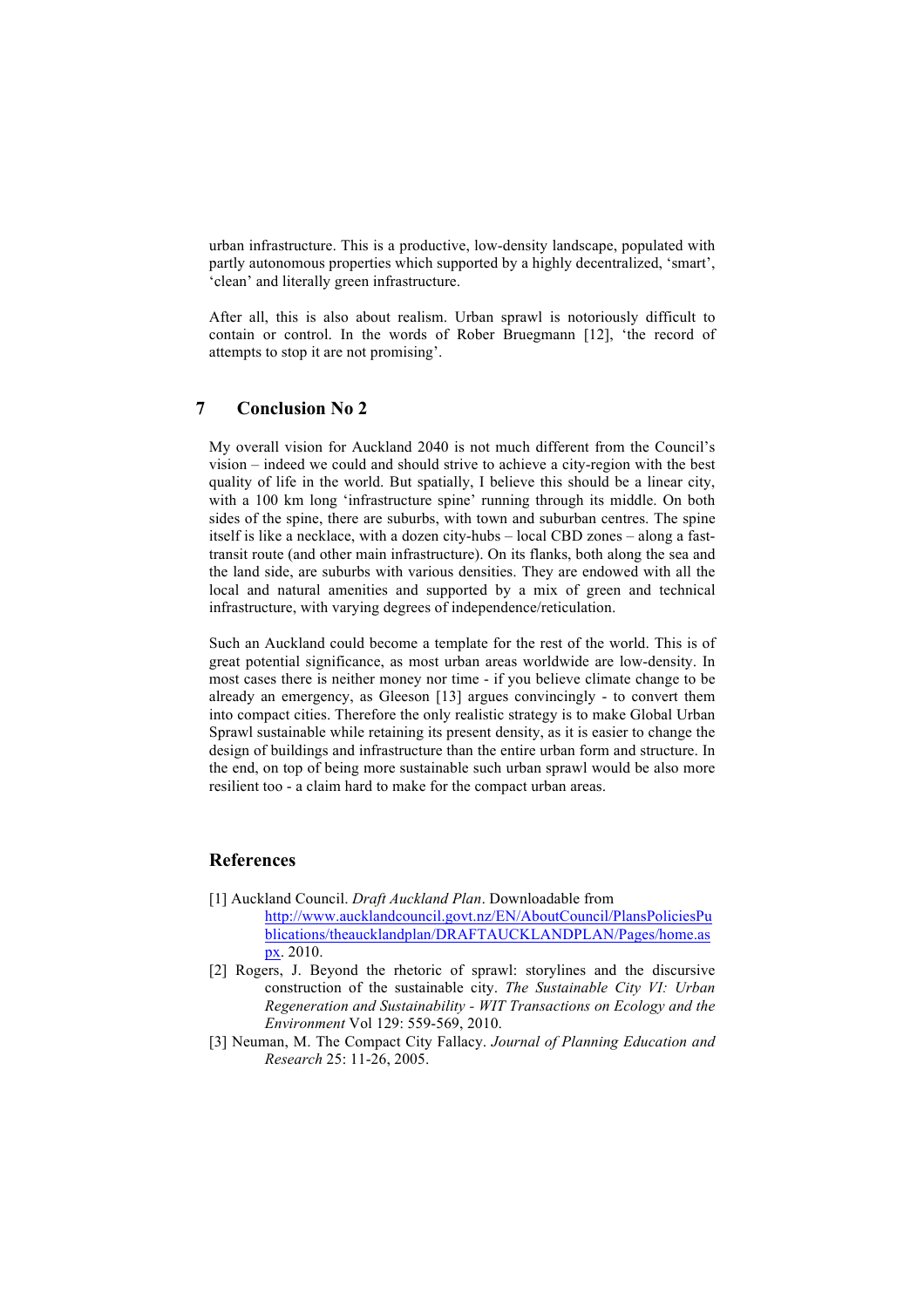urban infrastructure. This is a productive, low-density landscape, populated with partly autonomous properties which supported by a highly decentralized, 'smart', 'clean' and literally green infrastructure.

After all, this is also about realism. Urban sprawl is notoriously difficult to contain or control. In the words of Rober Bruegmann [12], 'the record of attempts to stop it are not promising'.

## **7 Conclusion No 2**

My overall vision for Auckland 2040 is not much different from the Council's vision – indeed we could and should strive to achieve a city-region with the best quality of life in the world. But spatially, I believe this should be a linear city, with a 100 km long 'infrastructure spine' running through its middle. On both sides of the spine, there are suburbs, with town and suburban centres. The spine itself is like a necklace, with a dozen city-hubs – local CBD zones – along a fasttransit route (and other main infrastructure). On its flanks, both along the sea and the land side, are suburbs with various densities. They are endowed with all the local and natural amenities and supported by a mix of green and technical infrastructure, with varying degrees of independence/reticulation.

Such an Auckland could become a template for the rest of the world. This is of great potential significance, as most urban areas worldwide are low-density. In most cases there is neither money nor time - if you believe climate change to be already an emergency, as Gleeson [13] argues convincingly - to convert them into compact cities. Therefore the only realistic strategy is to make Global Urban Sprawl sustainable while retaining its present density, as it is easier to change the design of buildings and infrastructure than the entire urban form and structure. In the end, on top of being more sustainable such urban sprawl would be also more resilient too - a claim hard to make for the compact urban areas.

## **References**

- [1] Auckland Council. *Draft Auckland Plan*. Downloadable from http://www.aucklandcouncil.govt.nz/EN/AboutCouncil/PlansPoliciesPu blications/theaucklandplan/DRAFTAUCKLANDPLAN/Pages/home.as px. 2010.
- [2] Rogers, J. Beyond the rhetoric of sprawl: storylines and the discursive construction of the sustainable city. *The Sustainable City VI: Urban Regeneration and Sustainability - WIT Transactions on Ecology and the Environment* Vol 129: 559-569, 2010.
- [3] Neuman, M. The Compact City Fallacy. *Journal of Planning Education and Research* 25: 11-26, 2005.